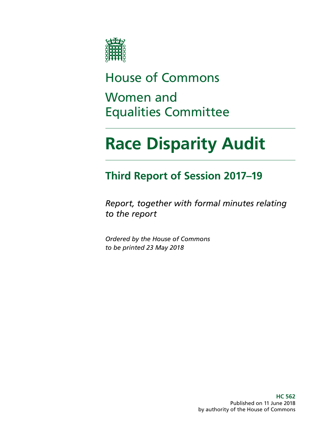

## House of Commons

## Women and Equalities Committee

# **Race Disparity Audit**

## **Third Report of Session 2017–19**

*Report, together with formal minutes relating to the report*

*Ordered by the House of Commons to be printed 23 May 2018*

> **HC 562** Published on 11 June 2018 by authority of the House of Commons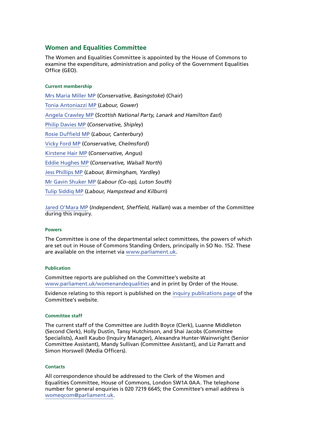## **Women and Equalities Committee**

The Women and Equalities Committee is appointed by the House of Commons to examine the expenditure, administration and policy of the Government Equalities Office (GEO).

### **Current membership**

[Mrs Maria Miller MP](https://www.parliament.uk/biographies/commons/mrs-maria-miller/1480) (*Conservative, Basingstoke*) (Chair) [Tonia Antoniazzi MP](https://www.parliament.uk/biographies/commons/tonia-antoniazzi/4623) (*Labour, Gower*) [Angela Crawley MP](https://www.parliament.uk/biographies/commons/angela-crawley/4469) (*Scottish National Party, Lanark and Hamilton East*) [Philip Davies MP](https://www.parliament.uk/biographies/commons/philip-davies/1565) (*Conservative, Shipley*) [Rosie Duffield MP](https://www.parliament.uk/biographies/commons/rosie-duffield/4616) (*Labour, Canterbury*) [Vicky Ford MP](https://www.parliament.uk/biographies/commons/vicky-ford/4674) (*Conservative, Chelmsford*) [Kirstene Hair MP](https://www.parliament.uk/biographies/commons/kirstene-hair/4675) (*Conservative, Angus*) [Eddie Hughes MP](https://www.parliament.uk/biographies/commons/eddie-hughes/4635) (*Conservative, Walsall North*) [Jess Phillips MP](https://www.parliament.uk/biographies/commons/jess-phillips/4370) (*Labour, Birmingham, Yardley*) [Mr Gavin Shuker MP](https://www.parliament.uk/biographies/commons/mr-gavin-shuker/4013) (*Labour (Co-op), Luton South*) [Tulip Siddiq MP](https://www.parliament.uk/biographies/commons/Tulip-Siddiq/4518) (*Labour, Hampstead and Kilburn*)

[Jared O'Mara MP](https://www.parliament.uk/biographies/commons/jared-o%27mara/4661) (*Independent, Sheffield, Hallam*) was a member of the Committee during this inquiry.

### **Powers**

The Committee is one of the departmental select committees, the powers of which are set out in House of Commons Standing Orders, principally in SO No. 152. These are available on the internet via [www.parliament.uk.](http://www.parliament.uk/)

### **Publication**

Committee reports are published on the Committee's website at [www.parliament.uk/womenandequalities](http://www.parliament.uk/womenandequalities) and in print by Order of the House.

Evidence relating to this report is published on the [inquiry publications page](https://www.parliament.uk/business/committees/committees-a-z/commons-select/women-and-equalities-committee/inquiries/parliament-2017/race-disparity-audit-17-19/publications/) of the Committee's website.

### **Committee staff**

The current staff of the Committee are Judith Boyce (Clerk), Luanne Middleton (Second Clerk), Holly Dustin, Tansy Hutchinson, and Shai Jacobs (Committee Specialists), Axell Kaubo (Inquiry Manager), Alexandra Hunter-Wainwright (Senior Committee Assistant), Mandy Sullivan (Committee Assistant), and Liz Parratt and Simon Horswell (Media Officers).

### **Contacts**

All correspondence should be addressed to the Clerk of the Women and Equalities Committee, House of Commons, London SW1A 0AA. The telephone number for general enquiries is 020 7219 6645; the Committee's email address is [womeqcom@parliament.uk.](mailto:womeqcom%40parliament.uk?subject=)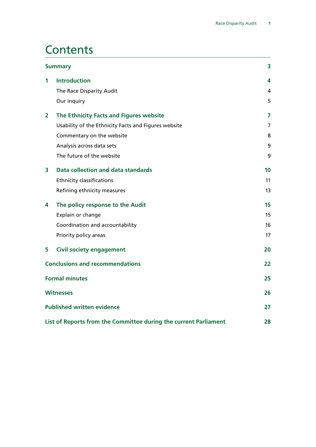## **Contents**

| <b>Summary</b>          |                                                                  |    |
|-------------------------|------------------------------------------------------------------|----|
| 1                       | <b>Introduction</b>                                              | 4  |
|                         | The Race Disparity Audit                                         | 4  |
|                         | Our inquiry                                                      | 5  |
| $\overline{\mathbf{2}}$ | The Ethnicity Facts and Figures website                          | 7  |
|                         | Usability of the Ethnicity Facts and Figures website             | 7  |
|                         | Commentary on the website                                        | 8  |
|                         | Analysis across data sets                                        | 9  |
|                         | The future of the website                                        | 9  |
| 3                       | <b>Data collection and data standards</b>                        | 10 |
|                         | <b>Ethnicity classifications</b>                                 | 11 |
|                         | Refining ethnicity measures                                      | 13 |
| 4                       | The policy response to the Audit                                 | 15 |
|                         | Explain or change                                                | 15 |
|                         | Coordination and accountability                                  | 16 |
|                         | Priority policy areas                                            | 17 |
| 5                       | <b>Civil society engagement</b>                                  | 20 |
|                         | <b>Conclusions and recommendations</b>                           | 22 |
|                         | <b>Formal minutes</b>                                            | 25 |
|                         | <b>Witnesses</b>                                                 | 26 |
|                         | <b>Published written evidence</b>                                | 27 |
|                         | List of Reports from the Committee during the current Parliament | 28 |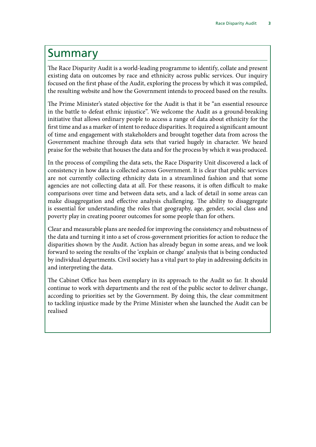## <span id="page-4-0"></span>Summary

The Race Disparity Audit is a world-leading programme to identify, collate and present existing data on outcomes by race and ethnicity across public services. Our inquiry focused on the first phase of the Audit, exploring the process by which it was compiled, the resulting website and how the Government intends to proceed based on the results.

The Prime Minister's stated objective for the Audit is that it be "an essential resource in the battle to defeat ethnic injustice". We welcome the Audit as a ground-breaking initiative that allows ordinary people to access a range of data about ethnicity for the first time and as a marker of intent to reduce disparities. It required a significant amount of time and engagement with stakeholders and brought together data from across the Government machine through data sets that varied hugely in character. We heard praise for the website that houses the data and for the process by which it was produced.

In the process of compiling the data sets, the Race Disparity Unit discovered a lack of consistency in how data is collected across Government. It is clear that public services are not currently collecting ethnicity data in a streamlined fashion and that some agencies are not collecting data at all. For these reasons, it is often difficult to make comparisons over time and between data sets, and a lack of detail in some areas can make disaggregation and effective analysis challenging. The ability to disaggregate is essential for understanding the roles that geography, age, gender, social class and poverty play in creating poorer outcomes for some people than for others.

Clear and measurable plans are needed for improving the consistency and robustness of the data and turning it into a set of cross-government priorities for action to reduce the disparities shown by the Audit. Action has already begun in some areas, and we look forward to seeing the results of the 'explain or change' analysis that is being conducted by individual departments. Civil society has a vital part to play in addressing deficits in and interpreting the data.

The Cabinet Office has been exemplary in its approach to the Audit so far. It should continue to work with departments and the rest of the public sector to deliver change, according to priorities set by the Government. By doing this, the clear commitment to tackling injustice made by the Prime Minister when she launched the Audit can be realised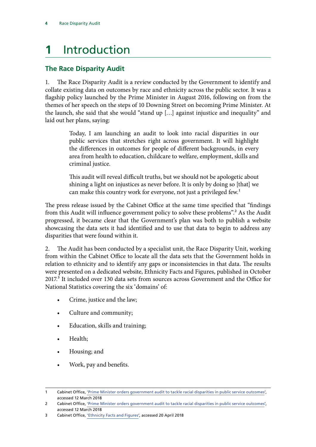## <span id="page-5-0"></span>**1** Introduction

## **The Race Disparity Audit**

1. The Race Disparity Audit is a review conducted by the Government to identify and collate existing data on outcomes by race and ethnicity across the public sector. It was a flagship policy launched by the Prime Minister in August 2016, following on from the themes of her speech on the steps of 10 Downing Street on becoming Prime Minister. At the launch, she said that she would "stand up […] against injustice and inequality" and laid out her plans, saying:

> Today, I am launching an audit to look into racial disparities in our public services that stretches right across government. It will highlight the differences in outcomes for people of different backgrounds, in every area from health to education, childcare to welfare, employment, skills and criminal justice.

> This audit will reveal difficult truths, but we should not be apologetic about shining a light on injustices as never before. It is only by doing so [that] we can make this country work for everyone, not just a privileged few.<sup>1</sup>

The press release issued by the Cabinet Office at the same time specified that "findings from this Audit will influence government policy to solve these problems".<sup>2</sup> As the Audit progressed, it became clear that the Government's plan was both to publish a website showcasing the data sets it had identified and to use that data to begin to address any disparities that were found within it.

2. The Audit has been conducted by a specialist unit, the Race Disparity Unit, working from within the Cabinet Office to locate all the data sets that the Government holds in relation to ethnicity and to identify any gaps or inconsistencies in that data. The results were presented on a dedicated website, Ethnicity Facts and Figures, published in October 2017.<sup>3</sup> It included over 130 data sets from sources across Government and the Office for National Statistics covering the six 'domains' of:

- Crime, justice and the law;
- Culture and community;
- Education, skills and training;
- Health;
- Housing; and
- Work, pay and benefits.

<sup>1</sup> Cabinet Office, ['Prime Minister orders government audit to tackle racial disparities in public service outcomes'](https://www.gov.uk/government/news/prime-minister-orders-government-audit-to-tackle-racial-disparities-in-public-service-outcomes), accessed 12 March 2018

<sup>2</sup> Cabinet Office, ['Prime Minister orders government audit to tackle racial disparities in public service outcomes'](https://www.gov.uk/government/news/prime-minister-orders-government-audit-to-tackle-racial-disparities-in-public-service-outcomes), accessed 12 March 2018

<sup>3</sup> Cabinet Office, ['Ethnicity Facts and Figures'](https://www.ethnicity-facts-figures.service.gov.uk/), accessed 20 April 2018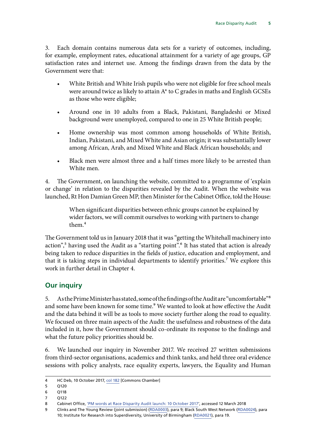<span id="page-6-0"></span>3. Each domain contains numerous data sets for a variety of outcomes, including, for example, employment rates, educational attainment for a variety of age groups, GP satisfaction rates and internet use. Among the findings drawn from the data by the Government were that:

- White British and White Irish pupils who were not eligible for free school meals were around twice as likely to attain  $A^*$  to C grades in maths and English GCSEs as those who were eligible;
- Around one in 10 adults from a Black, Pakistani, Bangladeshi or Mixed background were unemployed, compared to one in 25 White British people;
- Home ownership was most common among households of White British, Indian, Pakistani, and Mixed White and Asian origin; it was substantially lower among African, Arab, and Mixed White and Black African households; and
- Black men were almost three and a half times more likely to be arrested than White men.

4. The Government, on launching the website, committed to a programme of 'explain or change' in relation to the disparities revealed by the Audit. When the website was launched, Rt Hon Damian Green MP, then Minister for the Cabinet Office, told the House:

> When significant disparities between ethnic groups cannot be explained by wider factors, we will commit ourselves to working with partners to change them.4

The Government told us in January 2018 that it was "getting the Whitehall machinery into action",<sup>5</sup> having used the Audit as a "starting point".<sup>6</sup> It has stated that action is already being taken to reduce disparities in the fields of justice, education and employment, and that it is taking steps in individual departments to identify priorities.7 We explore this work in further detail in Chapter 4.

## **Our inquiry**

5. As the Prime Minister has stated, some of the findings of the Audit are "uncomfortable"8 and some have been known for some time.<sup>9</sup> We wanted to look at how effective the Audit and the data behind it will be as tools to move society further along the road to equality. We focused on three main aspects of the Audit: the usefulness and robustness of the data included in it, how the Government should co-ordinate its response to the findings and what the future policy priorities should be.

6. We launched our inquiry in November 2017. We received 27 written submissions from third-sector organisations, academics and think tanks, and held three oral evidence sessions with policy analysts, race equality experts, lawyers, the Equality and Human

<sup>4</sup> HC Deb, 10 October 2017, [col 182](https://hansard.parliament.uk/Commons/2017-10-10/debates/4BB04020-2D72-4BAB-BE01-B9424C4DA6F4/RaceDisparityAudit) [Commons Chamber]

<sup>5</sup> Q120

<sup>6</sup> Q118

<sup>7</sup> Q122

<sup>8</sup> Cabinet Office, ['PM words at Race Disparity Audit launch: 10 October 2017'](https://www.gov.uk/government/speeches/pm-words-at-race-disparity-audit-launch-10-october-2017), accessed 12 March 2018

<sup>9</sup> Clinks and The Young Review (joint submission) [\(RDA0003](http://data.parliament.uk/WrittenEvidence/CommitteeEvidence.svc/EvidenceDocument/Women%20and%20Equalities/Race%20Disparity%20Audit/written/74479.html)), para 9; Black South West Network ([RDA0024\)](http://data.parliament.uk/WrittenEvidence/CommitteeEvidence.svc/EvidenceDocument/Women%20and%20Equalities/Race%20Disparity%20Audit/written/76914.html), para 10; Institute for Research into Superdiversity, University of Birmingham [\(RDA0021](http://data.parliament.uk/WrittenEvidence/CommitteeEvidence.svc/EvidenceDocument/Women%20and%20Equalities/Race%20Disparity%20Audit/written/75782.html)), para 19.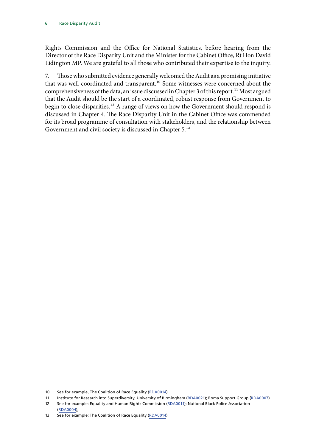Rights Commission and the Office for National Statistics, before hearing from the Director of the Race Disparity Unit and the Minister for the Cabinet Office, Rt Hon David Lidington MP. We are grateful to all those who contributed their expertise to the inquiry.

7. Those who submitted evidence generally welcomed the Audit as a promising initiative that was well-coordinated and transparent.<sup>10</sup> Some witnesses were concerned about the comprehensiveness of the data, an issue discussed in Chapter 3 of this report.<sup>11</sup> Most argued that the Audit should be the start of a coordinated, robust response from Government to begin to close disparities.<sup>12</sup> A range of views on how the Government should respond is discussed in Chapter 4. The Race Disparity Unit in the Cabinet Office was commended for its broad programme of consultation with stakeholders, and the relationship between Government and civil society is discussed in Chapter 5.<sup>13</sup>

<sup>10</sup> See for example, The Coalition of Race Equality [\(RDA0014](http://data.parliament.uk/WrittenEvidence/CommitteeEvidence.svc/EvidenceDocument/Women%20and%20Equalities/Race%20Disparity%20Audit/written/74781.html))

<sup>11</sup> Institute for Research into Superdiversity, University of Birmingham ([RDA0021\)](http://data.parliament.uk/WrittenEvidence/CommitteeEvidence.svc/EvidenceDocument/Women%20and%20Equalities/Race%20Disparity%20Audit/written/75782.html); Roma Support Group ([RDA0007\)](http://data.parliament.uk/WrittenEvidence/CommitteeEvidence.svc/EvidenceDocument/Women%20and%20Equalities/Race%20Disparity%20Audit/written/74508.html) 12 See for example: Equality and Human Rights Commission ([RDA0011](http://data.parliament.uk/WrittenEvidence/CommitteeEvidence.svc/EvidenceDocument/Women%20and%20Equalities/Race%20Disparity%20Audit/written/74579.html)); National Black Police Association [\(RDA0004](http://data.parliament.uk/WrittenEvidence/CommitteeEvidence.svc/EvidenceDocument/Women%20and%20Equalities/Race%20Disparity%20Audit/written/74482.html));

<sup>13</sup> See for example: The Coalition of Race Equality ([RDA0014](http://data.parliament.uk/WrittenEvidence/CommitteeEvidence.svc/EvidenceDocument/Women%20and%20Equalities/Race%20Disparity%20Audit/written/74781.html))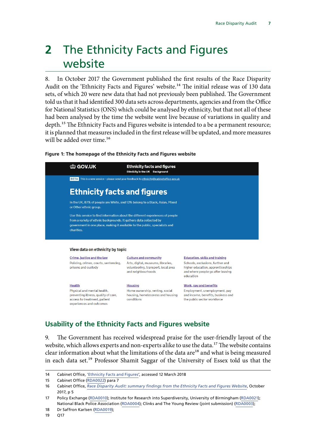## <span id="page-8-0"></span>**2** The Ethnicity Facts and Figures website

8. In October 2017 the Government published the first results of the Race Disparity Audit on the 'Ethnicity Facts and Figures' website.<sup>14</sup> The initial release was of 130 data sets, of which 20 were new data that had not previously been published. The Government told us that it had identified 300 data sets across departments, agencies and from the Office for National Statistics (ONS) which could be analysed by ethnicity, but that not all of these had been analysed by the time the website went live because of variations in quality and depth.<sup>15</sup> The Ethnicity Facts and Figures website is intended to a be a permanent resource; it is planned that measures included in the first release will be updated, and more measures will be added over time.<sup>16</sup>

### **Figure 1: The homepage of the Ethnicity Facts and Figures website**

| <b>the GOV.UK</b>                                            | <b>Ethnicity facts and figures</b><br><b>Ethnicity in the UK Background</b>                                                                                                                                                         |                                                                                                                         |  |  |  |  |
|--------------------------------------------------------------|-------------------------------------------------------------------------------------------------------------------------------------------------------------------------------------------------------------------------------------|-------------------------------------------------------------------------------------------------------------------------|--|--|--|--|
| <b>BETA</b>                                                  | This is a new service - please send your feedback to ethnicity@cabinetoffice.gov.uk                                                                                                                                                 |                                                                                                                         |  |  |  |  |
|                                                              | <b>Ethnicity facts and figures</b>                                                                                                                                                                                                  |                                                                                                                         |  |  |  |  |
| or Other ethnic group.                                       | In the UK, 87% of people are White, and 13% belong to a Black, Asian, Mixed                                                                                                                                                         |                                                                                                                         |  |  |  |  |
| charities.                                                   | Use this service to find information about the different experiences of people<br>from a variety of ethnic backgrounds. It gathers data collected by<br>government in one place, making it available to the public, specialists and |                                                                                                                         |  |  |  |  |
|                                                              | View data on ethnicity by topic                                                                                                                                                                                                     |                                                                                                                         |  |  |  |  |
| Crime, justice and the law                                   | <b>Culture and community</b>                                                                                                                                                                                                        | <b>Education, skills and training</b>                                                                                   |  |  |  |  |
| Policing, crimes, courts, sentencing,<br>prisons and custody | Arts, digital, museums, libraries,<br>volunteering, transport, local area<br>and neighbourhoods                                                                                                                                     | Schools, exclusions, further and<br>higher education, apprenticeships<br>and where people go after leaving<br>education |  |  |  |  |

**Health** Physical and mental health. preventing illness, quality of care. access to treatment, patient experiences and outcomes

**Housing** 

Home ownership, renting, social housing, homelessness and housing conditions

**Work, pay and benefits** Employment, unemployment, pay

and income, benefits, business and the public sector workforce

## **Usability of the Ethnicity Facts and Figures website**

9. The Government has received widespread praise for the user-friendly layout of the website, which allows experts and non-experts alike to use the data.<sup>17</sup> The website contains clear information about what the limitations of the data are<sup>18</sup> and what is being measured in each data set.19 Professor Shamit Saggar of the University of Essex told us that the

<sup>14</sup> Cabinet Office, ['Ethnicity Facts and Figures'](https://www.ethnicity-facts-figures.service.gov.uk/), accessed 12 March 2018

<sup>15</sup> Cabinet Office [\(RDA0022\)](http://data.parliament.uk/WrittenEvidence/CommitteeEvidence.svc/EvidenceDocument/Women%20and%20Equalities/Race%20Disparity%20Audit/written/75816.html) para 7

<sup>16</sup> Cabinet Office, *[Race Disparity Audit: summary findings from the Ethnicity Facts and Figures Website](https://www.gov.uk/government/uploads/system/uploads/attachment_data/file/686071/Revised_RDA_report_March_2018.pdf)*, October 2017, p 5

<sup>17</sup> Policy Exchange [\(RDA0010\)](http://data.parliament.uk/WrittenEvidence/CommitteeEvidence.svc/EvidenceDocument/Women%20and%20Equalities/Race%20Disparity%20Audit/written/74569.html); Institute for Research into Superdiversity, University of Birmingham [\(RDA0021](http://data.parliament.uk/WrittenEvidence/CommitteeEvidence.svc/EvidenceDocument/Women%20and%20Equalities/Race%20Disparity%20Audit/written/75782.html)); National Black Police Association ([RDA0004\)](http://data.parliament.uk/WrittenEvidence/CommitteeEvidence.svc/EvidenceDocument/Women%20and%20Equalities/Race%20Disparity%20Audit/written/74482.html); Clinks and The Young Review (joint submission) ([RDA0003\)](http://data.parliament.uk/WrittenEvidence/CommitteeEvidence.svc/EvidenceDocument/Women%20and%20Equalities/Race%20Disparity%20Audit/written/74479.html);

<sup>18</sup> Dr Saffron Karlsen [\(RDA0019](http://data.parliament.uk/WrittenEvidence/CommitteeEvidence.svc/EvidenceDocument/Women%20and%20Equalities/Race%20Disparity%20Audit/written/75522.html));

<sup>19</sup> Q17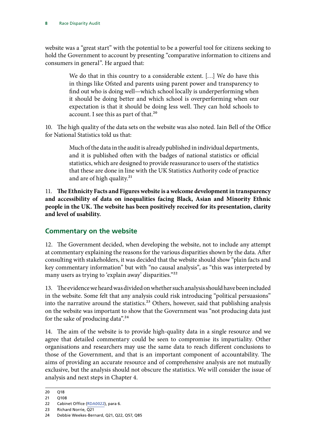<span id="page-9-0"></span>website was a "great start" with the potential to be a powerful tool for citizens seeking to hold the Government to account by presenting "comparative information to citizens and consumers in general". He argued that:

> We do that in this country to a considerable extent. […] We do have this in things like Ofsted and parents using parent power and transparency to find out who is doing well—which school locally is underperforming when it should be doing better and which school is overperforming when our expectation is that it should be doing less well. They can hold schools to account. I see this as part of that.<sup>20</sup>

10. The high quality of the data sets on the website was also noted. Iain Bell of the Office for National Statistics told us that:

> Much of the data in the audit is already published in individual departments, and it is published often with the badges of national statistics or official statistics, which are designed to provide reassurance to users of the statistics that these are done in line with the UK Statistics Authority code of practice and are of high quality.<sup>21</sup>

11. The Ethnicity Facts and Figures website is a welcome development in transparency **and accessibility of data on inequalities facing Black, Asian and Minority Ethnic people in the UK. The website has been positively received for its presentation, clarity and level of usability.**

## **Commentary on the website**

12. The Government decided, when developing the website, not to include any attempt at commentary explaining the reasons for the various disparities shown by the data. After consulting with stakeholders, it was decided that the website should show "plain facts and key commentary information" but with "no causal analysis", as "this was interpreted by many users as trying to 'explain away' disparities."<sup>22</sup>

13. The evidence we heard was divided on whether such analysis should have been included in the website. Some felt that any analysis could risk introducing "political persuasions" into the narrative around the statistics.<sup>23</sup> Others, however, said that publishing analysis on the website was important to show that the Government was "not producing data just for the sake of producing data".<sup>24</sup>

14. The aim of the website is to provide high-quality data in a single resource and we agree that detailed commentary could be seen to compromise its impartiality. Other organisations and researchers may use the same data to reach different conclusions to those of the Government, and that is an important component of accountability. The aims of providing an accurate resource and of comprehensive analysis are not mutually exclusive, but the analysis should not obscure the statistics. We will consider the issue of analysis and next steps in Chapter 4.

<sup>20</sup> Q18

<sup>21</sup> Q108

<sup>22</sup> Cabinet Office [\(RDA0022\)](http://data.parliament.uk/WrittenEvidence/CommitteeEvidence.svc/EvidenceDocument/Women%20and%20Equalities/Race%20Disparity%20Audit/written/75816.html), para 6.

<sup>23</sup> Richard Norrie, Q21

<sup>24</sup> Debbie Weekes-Bernard, Q21, Q22, Q57, Q85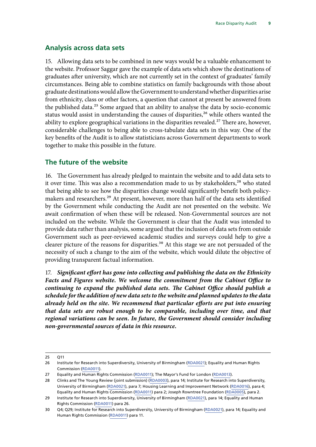### <span id="page-10-0"></span>**Analysis across data sets**

15. Allowing data sets to be combined in new ways would be a valuable enhancement to the website. Professor Saggar gave the example of data sets which show the destinations of graduates after university, which are not currently set in the context of graduates' family circumstances. Being able to combine statistics on family backgrounds with those about graduate destinations would allow the Government to understand whether disparities arise from ethnicity, class or other factors, a question that cannot at present be answered from the published data.<sup>25</sup> Some argued that an ability to analyse the data by socio-economic status would assist in understanding the causes of disparities,<sup>26</sup> while others wanted the ability to explore geographical variations in the disparities revealed.<sup>27</sup> There are, however, considerable challenges to being able to cross-tabulate data sets in this way. One of the key benefits of the Audit is to allow statisticians across Government departments to work together to make this possible in the future.

### **The future of the website**

16. The Government has already pledged to maintain the website and to add data sets to it over time. This was also a recommendation made to us by stakeholders,<sup>28</sup> who stated that being able to see how the disparities change would significantly benefit both policymakers and researchers.<sup>29</sup> At present, however, more than half of the data sets identified by the Government while conducting the Audit are not presented on the website. We await confirmation of when these will be released. Non-Governmental sources are not included on the website. While the Government is clear that the Audit was intended to provide data rather than analysis, some argued that the inclusion of data sets from outside Government such as peer-reviewed academic studies and surveys could help to give a clearer picture of the reasons for disparities.<sup>30</sup> At this stage we are not persuaded of the necessity of such a change to the aim of the website, which would dilute the objective of providing transparent factual information.

17. *Significant effort has gone into collecting and publishing the data on the Ethnicity Facts and Figures website. We welcome the commitment from the Cabinet Office to continuing to expand the published data sets. The Cabinet Office should publish a schedule for the addition of new data sets to the website and planned updates to the data already held on the site. We recommend that particular efforts are put into ensuring that data sets are robust enough to be comparable, including over time, and that regional variations can be seen. In future, the Government should consider including non-governmental sources of data in this resource.*

<sup>25</sup> Q11

<sup>26</sup> Institute for Research into Superdiversity, University of Birmingham ([RDA0021\)](http://data.parliament.uk/WrittenEvidence/CommitteeEvidence.svc/EvidenceDocument/Women%20and%20Equalities/Race%20Disparity%20Audit/written/75782.html); Equality and Human Rights Commission [\(RDA0011\)](http://data.parliament.uk/WrittenEvidence/CommitteeEvidence.svc/EvidenceDocument/Women%20and%20Equalities/Race%20Disparity%20Audit/written/74579.html).

<sup>27</sup> Equality and Human Rights Commission [\(RDA0011\)](http://data.parliament.uk/WrittenEvidence/CommitteeEvidence.svc/EvidenceDocument/Women%20and%20Equalities/Race%20Disparity%20Audit/written/74579.html); The Mayor's Fund for London [\(RDA0013](http://data.parliament.uk/WrittenEvidence/CommitteeEvidence.svc/EvidenceDocument/Women%20and%20Equalities/Race%20Disparity%20Audit/written/74623.html)).

<sup>28</sup> Clinks and The Young Review (joint submission) [\(RDA0003](http://data.parliament.uk/WrittenEvidence/CommitteeEvidence.svc/EvidenceDocument/Women%20and%20Equalities/Race%20Disparity%20Audit/written/74479.html)), para 14; Institute for Research into Superdiversity, University of Birmingham ([RDA0021\)](http://data.parliament.uk/WrittenEvidence/CommitteeEvidence.svc/EvidenceDocument/Women%20and%20Equalities/Race%20Disparity%20Audit/written/75782.html), para 7; Housing Learning and Improvement Network ([RDA0016](http://data.parliament.uk/WrittenEvidence/CommitteeEvidence.svc/EvidenceDocument/Women%20and%20Equalities/Race%20Disparity%20Audit/written/75207.html)), para 4; Equality and Human Rights Commission [\(RDA0011\)](http://data.parliament.uk/WrittenEvidence/CommitteeEvidence.svc/EvidenceDocument/Women%20and%20Equalities/Race%20Disparity%20Audit/written/74579.html) para 2; Joseph Rowntree Foundation [\(RDA0005\)](http://data.parliament.uk/WrittenEvidence/CommitteeEvidence.svc/EvidenceDocument/Women%20and%20Equalities/Race%20Disparity%20Audit/written/74494.html), para 2.

<sup>29</sup> Institute for Research into Superdiversity, University of Birmingham ([RDA0021\)](http://data.parliament.uk/WrittenEvidence/CommitteeEvidence.svc/EvidenceDocument/Women%20and%20Equalities/Race%20Disparity%20Audit/written/75782.html), para 14; Equality and Human Rights Commission [\(RDA0011](http://data.parliament.uk/WrittenEvidence/CommitteeEvidence.svc/EvidenceDocument/Women%20and%20Equalities/Race%20Disparity%20Audit/written/74579.html)) para 26.

<sup>30</sup> Q4; Q29; Institute for Research into Superdiversity, University of Birmingham ([RDA0021\)](http://data.parliament.uk/WrittenEvidence/CommitteeEvidence.svc/EvidenceDocument/Women%20and%20Equalities/Race%20Disparity%20Audit/written/75782.html), para 14; Equality and Human Rights Commission [\(RDA0011\)](http://data.parliament.uk/WrittenEvidence/CommitteeEvidence.svc/EvidenceDocument/Women%20and%20Equalities/Race%20Disparity%20Audit/written/74579.html) para 11.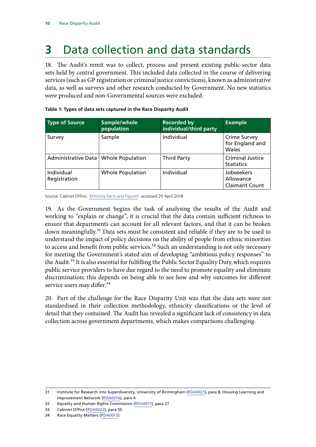## <span id="page-11-0"></span>**3** Data collection and data standards

18. The Audit's remit was to collect, process and present existing public-sector data sets held by central government. This included data collected in the course of delivering services (such as GP registration or criminal justice convictions), known as administrative data, as well as surveys and other research conducted by Government. No new statistics were produced and non-Governmental sources were excluded.

| <b>Type of Source</b>      | Sample/whole<br>population | <b>Recorded by</b><br>individual/third party | <b>Example</b>                                   |
|----------------------------|----------------------------|----------------------------------------------|--------------------------------------------------|
| Survey                     | Sample                     | Individual                                   | <b>Crime Survey</b><br>for England and<br>Wales  |
| Administrative Data        | <b>Whole Population</b>    | <b>Third Party</b>                           | <b>Criminal Justice</b><br><b>Statistics</b>     |
| Individual<br>Registration | <b>Whole Population</b>    | Individual                                   | Jobseekers<br>Allowance<br><b>Claimant Count</b> |

|  |  |  | Table 1: Types of data sets captured in the Race Disparity Audit |  |
|--|--|--|------------------------------------------------------------------|--|
|  |  |  |                                                                  |  |

Source: Cabinet Office, ['Ethnicity Facts and Figures](https://www.ethnicity-facts-figures.service.gov.uk/)', accessed 20 April 2018

19. As the Government begins the task of analysing the results of the Audit and working to "explain or change", it is crucial that the data contain sufficient richness to ensure that departments can account for all relevant factors, and that it can be broken down meaningfully.<sup>31</sup> Data sets must be consistent and reliable if they are to be used to understand the impact of policy decisions on the ability of people from ethnic minorities to access and benefit from public services.<sup>32</sup> Such an understanding is not only necessary for meeting the Government's stated aim of developing "ambitious policy responses" to the Audit.<sup>33</sup> It is also essential for fulfilling the Public Sector Equality Duty, which requires public service providers to have due regard to the need to promote equality and eliminate discrimination; this depends on being able to see how and why outcomes for different service users may differ.<sup>34</sup>

20. Part of the challenge for the Race Disparity Unit was that the data sets were not standardised in their collection methodology, ethnicity classifications or the level of detail that they contained. The Audit has revealed a significant lack of consistency in data collection across government departments, which makes comparisons challenging.

<sup>31</sup> Institute for Research into Superdiversity, University of Birmingham ([RDA0021\)](http://data.parliament.uk/WrittenEvidence/CommitteeEvidence.svc/EvidenceDocument/Women%20and%20Equalities/Race%20Disparity%20Audit/written/75782.html), para 8; Housing Learning and Improvement Network ([RDA0016](http://data.parliament.uk/WrittenEvidence/CommitteeEvidence.svc/EvidenceDocument/Women%20and%20Equalities/Race%20Disparity%20Audit/written/75207.html)), para 4

<sup>32</sup> Equality and Human Rights Commission [\(RDA0011\)](http://data.parliament.uk/WrittenEvidence/CommitteeEvidence.svc/EvidenceDocument/Women%20and%20Equalities/Race%20Disparity%20Audit/written/74579.html), para 27

<sup>33</sup> Cabinet Office [\(RDA0022](http://data.parliament.uk/WrittenEvidence/CommitteeEvidence.svc/EvidenceDocument/Women%20and%20Equalities/Race%20Disparity%20Audit/written/75816.html)), para 55

<sup>34</sup> Race Equality Matters [\(RDA0015](http://data.parliament.uk/WrittenEvidence/CommitteeEvidence.svc/EvidenceDocument/Women%20and%20Equalities/Race%20Disparity%20Audit/written/74923.html))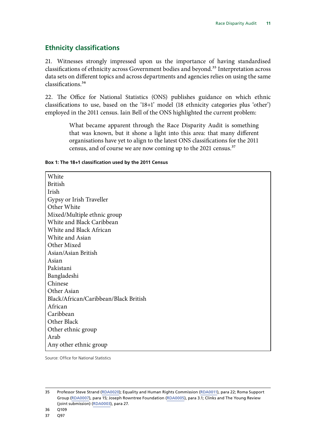## <span id="page-12-0"></span>**Ethnicity classifications**

21. Witnesses strongly impressed upon us the importance of having standardised classifications of ethnicity across Government bodies and beyond.<sup>35</sup> Interpretation across data sets on different topics and across departments and agencies relies on using the same classifications.36

22. The Office for National Statistics (ONS) publishes guidance on which ethnic classifications to use, based on the '18+1' model (18 ethnicity categories plus 'other') employed in the 2011 census. Iain Bell of the ONS highlighted the current problem:

> What became apparent through the Race Disparity Audit is something that was known, but it shone a light into this area: that many different organisations have yet to align to the latest ONS classifications for the 2011 census, and of course we are now coming up to the 2021 census.<sup>37</sup>

### **Box 1: The 18+1 classification used by the 2011 Census**

**White** British Irish Gypsy or Irish Traveller Other White Mixed/Multiple ethnic group White and Black Caribbean White and Black African White and Asian Other Mixed Asian/Asian British Asian Pakistani Bangladeshi Chinese Other Asian Black/African/Caribbean/Black British African Caribbean Other Black Other ethnic group Arab Any other ethnic group

Source: Office for National Statistics

<sup>35</sup> Professor Steve Strand ([RDA0020\)](http://data.parliament.uk/WrittenEvidence/CommitteeEvidence.svc/EvidenceDocument/Women%20and%20Equalities/Race%20Disparity%20Audit/written/75570.html); Equality and Human Rights Commission ([RDA0011](http://data.parliament.uk/WrittenEvidence/CommitteeEvidence.svc/EvidenceDocument/Women%20and%20Equalities/Race%20Disparity%20Audit/written/74579.html)), para 22; Roma Support Group ([RDA0007\)](http://data.parliament.uk/WrittenEvidence/CommitteeEvidence.svc/EvidenceDocument/Women%20and%20Equalities/Race%20Disparity%20Audit/written/74508.html), para 15; Joseph Rowntree Foundation [\(RDA0005](http://data.parliament.uk/WrittenEvidence/CommitteeEvidence.svc/EvidenceDocument/Women%20and%20Equalities/Race%20Disparity%20Audit/written/74494.html)), para 3.1; Clinks and The Young Review (joint submission) [\(RDA0003](http://data.parliament.uk/WrittenEvidence/CommitteeEvidence.svc/EvidenceDocument/Women%20and%20Equalities/Race%20Disparity%20Audit/written/74479.html)), para 27.

<sup>36</sup> Q109

<sup>37</sup> Q97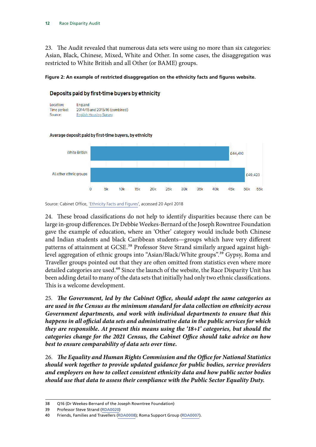23. The Audit revealed that numerous data sets were using no more than six categories: Asian, Black, Chinese, Mixed, White and Other. In some cases, the disaggregation was restricted to White British and all Other (or BAME) groups.

### **Figure 2: An example of restricted disaggregation on the ethnicity facts and figures website.**

## Deposits paid by first-time buyers by ethnicity



#### **White British** £44,410 All other ethnic groups £49,423  $\Omega$ 5k  $10k$  $15k$  $20k$  $25k$  $30k$  $35k$  $40k$  $45k$ 50<sub>k</sub>  $55k$

### Average deposit paid by first-time buyers, by ethnicity

24. These broad classifications do not help to identify disparities because there can be large in-group differences. Dr Debbie Weekes-Bernard of the Joseph Rowntree Foundation gave the example of education, where an 'Other' category would include both Chinese and Indian students and black Caribbean students—groups which have very different patterns of attainment at GCSE.<sup>38</sup> Professor Steve Strand similarly argued against highlevel aggregation of ethnic groups into "Asian/Black/White groups".<sup>39</sup> Gypsy, Roma and Traveller groups pointed out that they are often omitted from statistics even where more detailed categories are used.<sup>40</sup> Since the launch of the website, the Race Disparity Unit has been adding detail to many of the data sets that initially had only two ethnic classifications. This is a welcome development.

25. *The Government, led by the Cabinet Office, should adopt the same categories as are used in the Census as the minimum standard for data collection on ethnicity across Government departments, and work with individual departments to ensure that this happens in all official data sets and administrative data in the public services for which they are responsible. At present this means using the '18+1' categories, but should the categories change for the 2021 Census, the Cabinet Office should take advice on how best to ensure comparability of data sets over time.*

26. *The Equality and Human Rights Commission and the Office for National Statistics should work together to provide updated guidance for public bodies, service providers and employers on how to collect consistent ethnicity data and how public sector bodies should use that data to assess their compliance with the Public Sector Equality Duty.*

Source: Cabinet Office, ['Ethnicity Facts and Figures](https://www.ethnicity-facts-figures.service.gov.uk/)', accessed 20 April 2018

<sup>38</sup> Q16 (Dr Weekes-Bernard of the Joseph Rowntree Foundation)

<sup>39</sup> Professor Steve Strand ([RDA0020\)](http://data.parliament.uk/WrittenEvidence/CommitteeEvidence.svc/EvidenceDocument/Women%20and%20Equalities/Race%20Disparity%20Audit/written/75570.html)

<sup>40</sup> Friends, Families and Travellers [\(RDA0008](http://data.parliament.uk/WrittenEvidence/CommitteeEvidence.svc/EvidenceDocument/Women%20and%20Equalities/Race%20Disparity%20Audit/written/74541.html)); Roma Support Group ([RDA0007\)](http://data.parliament.uk/WrittenEvidence/CommitteeEvidence.svc/EvidenceDocument/Women%20and%20Equalities/Race%20Disparity%20Audit/written/74508.html).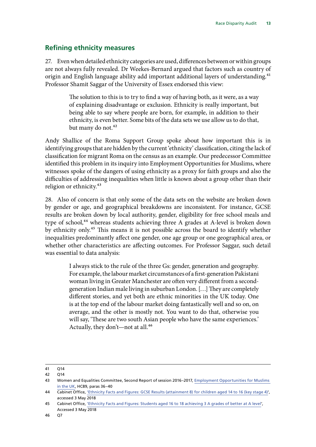## <span id="page-14-0"></span>**Refining ethnicity measures**

27. Even when detailed ethnicity categories are used, differences between or within groups are not always fully revealed. Dr Weekes-Bernard argued that factors such as country of origin and English language ability add important additional layers of understanding.<sup>41</sup> Professor Shamit Saggar of the University of Essex endorsed this view:

> The solution to this is to try to find a way of having both, as it were, as a way of explaining disadvantage or exclusion. Ethnicity is really important, but being able to say where people are born, for example, in addition to their ethnicity, is even better. Some bits of the data sets we use allow us to do that, but many do not.<sup>42</sup>

Andy Shallice of the Roma Support Group spoke about how important this is in identifying groups that are hidden by the current 'ethnicity' classification, citing the lack of classification for migrant Roma on the census as an example. Our predecessor Committee identified this problem in its inquiry into Employment Opportunities for Muslims, where witnesses spoke of the dangers of using ethnicity as a proxy for faith groups and also the difficulties of addressing inequalities when little is known about a group other than their religion or ethnicity.<sup>43</sup>

28. Also of concern is that only some of the data sets on the website are broken down by gender or age, and geographical breakdowns are inconsistent. For instance, GCSE results are broken down by local authority, gender, eligibility for free school meals and type of school,<sup>44</sup> whereas students achieving three A grades at A-level is broken down by ethnicity only.45 This means it is not possible across the board to identify whether inequalities predominantly affect one gender, one age group or one geographical area, or whether other characteristics are affecting outcomes. For Professor Saggar, such detail was essential to data analysis:

> I always stick to the rule of the three Gs: gender, generation and geography. For example, the labour market circumstances of a first-generation Pakistani woman living in Greater Manchester are often very different from a secondgeneration Indian male living in suburban London. […] They are completely different stories, and yet both are ethnic minorities in the UK today. One is at the top end of the labour market doing fantastically well and so on, on average, and the other is mostly not. You want to do that, otherwise you will say, 'These are two south Asian people who have the same experiences.' Actually, they don't—not at all.<sup>46</sup>

<sup>41</sup> Q14

<sup>42</sup> Q14

<sup>43</sup> Women and Equalities Committee, Second Report of session 2016–2017, [Employment Opportunities for Muslims](https://publications.parliament.uk/pa/cm201617/cmselect/cmwomeq/89/89.pdf)  [in the UK](https://publications.parliament.uk/pa/cm201617/cmselect/cmwomeq/89/89.pdf), HC89, paras 36–40

<sup>44</sup> Cabinet Office, ['Ethnicity Facts and Figures: GCSE Results \(attainment 8\) for children aged 14 to 16 \(key stage 4\)'](https://www.ethnicity-facts-figures.service.gov.uk/education-skills-and-training/11-to-16-years-old/gcse-results-attainment-8-for-children-aged-14-to-16-key-stage-4/latest), accessed 3 May 2018

<sup>45</sup> Cabinet Office, ['Ethnicity Facts and Figures: Students aged 16 to 18 achieving 3 A grades of better at A level](https://www.ethnicity-facts-figures.service.gov.uk/education-skills-and-training/a-levels/students-aged-16-to-18-achieving-3-a-grades-or-better-at-a-level/latest)', Accessed 3 May 2018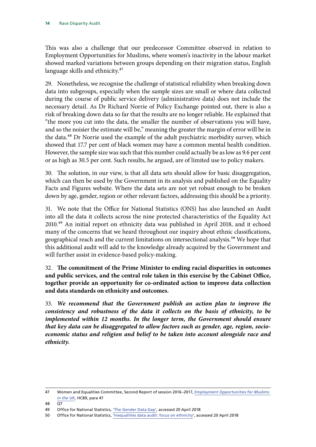This was also a challenge that our predecessor Committee observed in relation to Employment Opportunities for Muslims, where women's inactivity in the labour market showed marked variations between groups depending on their migration status, English language skills and ethnicity.<sup>47</sup>

29. Nonetheless, we recognise the challenge of statistical reliability when breaking down data into subgroups, especially when the sample sizes are small or where data collected during the course of public service delivery (administrative data) does not include the necessary detail. As Dr Richard Norrie of Policy Exchange pointed out, there is also a risk of breaking down data so far that the results are no longer reliable. He explained that "the more you cut into the data, the smaller the number of observations you will have, and so the noisier the estimate will be," meaning the greater the margin of error will be in the data.<sup>48</sup> Dr Norrie used the example of the adult psychiatric morbidity survey, which showed that 17.7 per cent of black women may have a common mental health condition. However, the sample size was such that this number could actually be as low as 9.6 per cent or as high as 30.5 per cent. Such results, he argued, are of limited use to policy makers.

30. The solution, in our view, is that all data sets should allow for basic disaggregation, which can then be used by the Government in its analysis and published on the Equality Facts and Figures website. Where the data sets are not yet robust enough to be broken down by age, gender, region or other relevant factors, addressing this should be a priority.

31. We note that the Office for National Statistics (ONS) has also launched an Audit into all the data it collects across the nine protected characteristics of the Equality Act 2010.49 An initial report on ethnicity data was published in April 2018, and it echoed many of the concerns that we heard throughout our inquiry about ethnic classifications, geographical reach and the current limitations on intersectional analysis.<sup>50</sup> We hope that this additional audit will add to the knowledge already acquired by the Government and will further assist in evidence-based policy-making.

32. The commitment of the Prime Minister to ending racial disparities in outcomes **and public services, and the central role taken in this exercise by the Cabinet Office, together provide an opportunity for co-ordinated action to improve data collection and data standards on ethnicity and outcomes.**

33. *We recommend that the Government publish an action plan to improve the consistency and robustness of the data it collects on the basis of ethnicity, to be implemented within 12 months. In the longer term, the Government should ensure that key data can be disaggregated to allow factors such as gender, age, region, socioeconomic status and religion and belief to be taken into account alongside race and ethnicity.*

<sup>47</sup> Women and Equalities Committee, Second Report of session 2016–2017, *[Employment Opportunities for Muslims](https://publications.parliament.uk/pa/cm201617/cmselect/cmwomeq/89/89.pdf)  [in the UK](https://publications.parliament.uk/pa/cm201617/cmselect/cmwomeq/89/89.pdf)*, HC89, para 47

<sup>48</sup> Q7

<sup>49</sup> Office for National Statistics, ['The Gender Data Gap'](https://blog.ons.gov.uk/2018/01/26/the-gender-data-gap/), accessed 20 April 2018

<sup>50</sup> Office for National Statistics, ['Inequalities data audit: focus on ethnicity'](https://www.ons.gov.uk/methodology/methodologicalpublications/generalmethodology/onsworkingpaperseries/inequalitiesdataauditfocusonethnicity), accessed 20 April 2018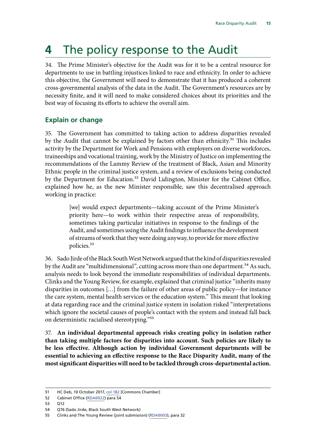## <span id="page-16-0"></span>**4** The policy response to the Audit

34. The Prime Minister's objective for the Audit was for it to be a central resource for departments to use in battling injustices linked to race and ethnicity. In order to achieve this objective, the Government will need to demonstrate that it has produced a coherent cross-governmental analysis of the data in the Audit. The Government's resources are by necessity finite, and it will need to make considered choices about its priorities and the best way of focusing its efforts to achieve the overall aim.

## **Explain or change**

35. The Government has committed to taking action to address disparities revealed by the Audit that cannot be explained by factors other than ethnicity.<sup>51</sup> This includes activity by the Department for Work and Pensions with employers on diverse workforces, traineeships and vocational training, work by the Ministry of Justice on implementing the recommendations of the Lammy Review of the treatment of Black, Asian and Minority Ethnic people in the criminal justice system, and a review of exclusions being conducted by the Department for Education.<sup>52</sup> David Lidington, Minister for the Cabinet Office, explained how he, as the new Minister responsible, saw this decentralised approach working in practice:

> [we] would expect departments—taking account of the Prime Minister's priority here—to work within their respective areas of responsibility, sometimes taking particular initiatives in response to the findings of the Audit, and sometimes using the Audit findings to influence the development of streams of work that they were doing anyway, to provide for more effective policies.53

36. Sado Jirde of the Black South West Network argued that the kind of disparities revealed by the Audit are "multidimensional", cutting across more than one department.<sup>54</sup> As such, analysis needs to look beyond the immediate responsibilities of individual departments. Clinks and the Young Review, for example, explained that criminal justice "inherits many disparities in outcomes […] from the failure of other areas of public policy—for instance the care system, mental health services or the education system." This meant that looking at data regarding race and the criminal justice system in isolation risked "interpretations which ignore the societal causes of people's contact with the system and instead fall back on deterministic racialised stereotyping."55

37. **An individual departmental approach risks creating policy in isolation rather than taking multiple factors for disparities into account. Such policies are likely to be less effective. Although action by individual Government departments will be essential to achieving an effective response to the Race Disparity Audit, many of the most significant disparities will need to be tackled through cross-departmental action.**

<sup>51</sup> HC Deb, 10 October 2017, [col 182](https://hansard.parliament.uk/Commons/2017-10-10/debates/4BB04020-2D72-4BAB-BE01-B9424C4DA6F4/RaceDisparityAudit) [Commons Chamber]

<sup>52</sup> Cabinet Office [\(RDA0022](http://data.parliament.uk/WrittenEvidence/CommitteeEvidence.svc/EvidenceDocument/Women%20and%20Equalities/Race%20Disparity%20Audit/written/75816.html)) para 54

<sup>53</sup> Q12

<sup>54</sup> Q76 (Sado Jirde, Black South West Network)

<sup>55</sup> Clinks and The Young Review (joint submission) [\(RDA0003](http://data.parliament.uk/WrittenEvidence/CommitteeEvidence.svc/EvidenceDocument/Women%20and%20Equalities/Race%20Disparity%20Audit/written/74479.html)), para 32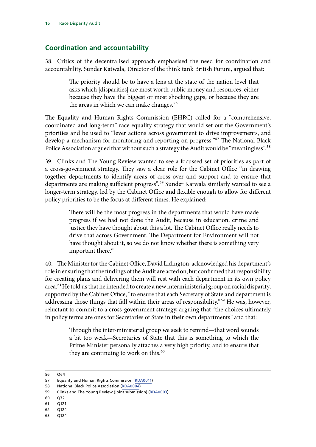## <span id="page-17-0"></span>**Coordination and accountability**

38. Critics of the decentralised approach emphasised the need for coordination and accountability. Sunder Katwala, Director of the think tank British Future, argued that:

> The priority should be to have a lens at the state of the nation level that asks which [disparities] are most worth public money and resources, either because they have the biggest or most shocking gaps, or because they are the areas in which we can make changes.<sup>56</sup>

The Equality and Human Rights Commission (EHRC) called for a "comprehensive, coordinated and long-term" race equality strategy that would set out the Government's priorities and be used to "lever actions across government to drive improvements, and develop a mechanism for monitoring and reporting on progress."57 The National Black Police Association argued that without such a strategy the Audit would be "meaningless".<sup>58</sup>

39. Clinks and The Young Review wanted to see a focussed set of priorities as part of a cross-government strategy. They saw a clear role for the Cabinet Office "in drawing together departments to identify areas of cross-over and support and to ensure that departments are making sufficient progress".<sup>59</sup> Sunder Katwala similarly wanted to see a longer-term strategy, led by the Cabinet Office and flexible enough to allow for different policy priorities to be the focus at different times. He explained:

> There will be the most progress in the departments that would have made progress if we had not done the Audit, because in education, crime and justice they have thought about this a lot. The Cabinet Office really needs to drive that across Government. The Department for Environment will not have thought about it, so we do not know whether there is something very important there.<sup>60</sup>

40. The Minister for the Cabinet Office, David Lidington, acknowledged his department's role in ensuring that the findings of the Audit are acted on, but confirmed that responsibility for creating plans and delivering them will rest with each department in its own policy area.<sup>61</sup> He told us that he intended to create a new interministerial group on racial disparity, supported by the Cabinet Office, "to ensure that each Secretary of State and department is addressing those things that fall within their areas of responsibility."<sup>62</sup> He was, however, reluctant to commit to a cross-government strategy, arguing that "the choices ultimately in policy terms are ones for Secretaries of State in their own departments" and that:

> Through the inter-ministerial group we seek to remind—that word sounds a bit too weak—Secretaries of State that this is something to which the Prime Minister personally attaches a very high priority, and to ensure that they are continuing to work on this.<sup>63</sup>

- 60 Q72
- 61 Q121
- 62 Q124
- 63 Q124

<sup>56</sup> Q64

<sup>57</sup> Equality and Human Rights Commission [\(RDA0011\)](http://data.parliament.uk/WrittenEvidence/CommitteeEvidence.svc/EvidenceDocument/Women%20and%20Equalities/Race%20Disparity%20Audit/written/74579.html)

<sup>58</sup> National Black Police Association ([RDA0004\)](http://data.parliament.uk/WrittenEvidence/CommitteeEvidence.svc/EvidenceDocument/Women%20and%20Equalities/Race%20Disparity%20Audit/written/74482.html)

<sup>59</sup> Clinks and The Young Review (joint submission) [\(RDA0003](http://data.parliament.uk/WrittenEvidence/CommitteeEvidence.svc/EvidenceDocument/Women%20and%20Equalities/Race%20Disparity%20Audit/written/74479.html))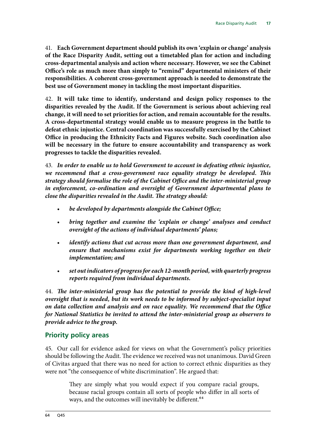<span id="page-18-0"></span>41. **Each Government department should publish its own 'explain or change' analysis of the Race Disparity Audit, setting out a timetabled plan for action and including cross-departmental analysis and action where necessary. However, we see the Cabinet Office's role as much more than simply to "remind" departmental ministers of their responsibilities. A coherent cross-government approach is needed to demonstrate the best use of Government money in tackling the most important disparities.**

42. **It will take time to identify, understand and design policy responses to the disparities revealed by the Audit. If the Government is serious about achieving real change, it will need to set priorities for action, and remain accountable for the results. A cross-departmental strategy would enable us to measure progress in the battle to defeat ethnic injustice. Central coordination was successfully exercised by the Cabinet Office in producing the Ethnicity Facts and Figures website. Such coordination also will be necessary in the future to ensure accountability and transparency as work progresses to tackle the disparities revealed.**

43. *In order to enable us to hold Government to account in defeating ethnic injustice, we recommend that a cross-government race equality strategy be developed. This strategy should formalise the role of the Cabinet Office and the inter-ministerial group in enforcement, co-ordination and oversight of Government departmental plans to close the disparities revealed in the Audit. The strategy should:*

- *be developed by departments alongside the Cabinet Office;*
- *bring together and examine the 'explain or change' analyses and conduct oversight of the actions of individual departments' plans;*
- *identify actions that cut across more than one government department, and ensure that mechanisms exist for departments working together on their implementation; and*
- *set out indicators of progress for each 12-month period, with quarterly progress reports required from individual departments.*

44. *The inter-ministerial group has the potential to provide the kind of high-level oversight that is needed, but its work needs to be informed by subject-specialist input on data collection and analysis and on race equality. We recommend that the Office for National Statistics be invited to attend the inter-ministerial group as observers to provide advice to the group.*

## **Priority policy areas**

45. Our call for evidence asked for views on what the Government's policy priorities should be following the Audit. The evidence we received was not unanimous. David Green of Civitas argued that there was no need for action to correct ethnic disparities as they were not "the consequence of white discrimination". He argued that:

> They are simply what you would expect if you compare racial groups, because racial groups contain all sorts of people who differ in all sorts of ways, and the outcomes will inevitably be different.<sup>64</sup>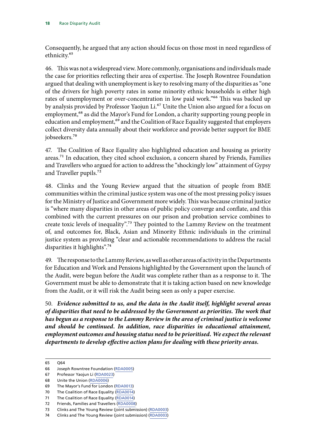Consequently, he argued that any action should focus on those most in need regardless of ethnicity.65

46. This was not a widespread view. More commonly, organisations and individuals made the case for priorities reflecting their area of expertise. The Joseph Rowntree Foundation argued that dealing with unemployment is key to resolving many of the disparities as "one of the drivers for high poverty rates in some minority ethnic households is either high rates of unemployment or over-concentration in low paid work."<sup>66</sup> This was backed up by analysis provided by Professor Yaojun Li.<sup>67</sup> Unite the Union also argued for a focus on employment,<sup>68</sup> as did the Mayor's Fund for London, a charity supporting young people in education and employment,<sup>69</sup> and the Coalition of Race Equality suggested that employers collect diversity data annually about their workforce and provide better support for BME jobseekers.70

47. The Coalition of Race Equality also highlighted education and housing as priority areas.71 In education, they cited school exclusion, a concern shared by Friends, Families and Travellers who argued for action to address the "shockingly low" attainment of Gypsy and Traveller pupils.<sup>72</sup>

48. Clinks and the Young Review argued that the situation of people from BME communities within the criminal justice system was one of the most pressing policy issues for the Ministry of Justice and Government more widely. This was because criminal justice is "where many disparities in other areas of public policy converge and conflate, and this combined with the current pressures on our prison and probation service combines to create toxic levels of inequality".73 They pointed to the Lammy Review on the treatment of, and outcomes for, Black, Asian and Minority Ethnic individuals in the criminal justice system as providing "clear and actionable recommendations to address the racial disparities it highlights".74

49. The response to the Lammy Review, as well as other areas of activity in the Departments for Education and Work and Pensions highlighted by the Government upon the launch of the Audit, were begun before the Audit was complete rather than as a response to it. The Government must be able to demonstrate that it is taking action based on new knowledge from the Audit, or it will risk the Audit being seen as only a paper exercise.

50. *Evidence submitted to us, and the data in the Audit itself, highlight several areas of disparities that need to be addressed by the Government as priorities. The work that has begun as a response to the Lammy Review in the area of criminal justice is welcome and should be continued. In addition, race disparities in educational attainment, employment outcomes and housing status need to be prioritised. We expect the relevant departments to develop effective action plans for dealing with these priority areas.*

<sup>65</sup> Q64

<sup>66</sup> Joseph Rowntree Foundation [\(RDA0005](http://data.parliament.uk/WrittenEvidence/CommitteeEvidence.svc/EvidenceDocument/Women%20and%20Equalities/Race%20Disparity%20Audit/written/74494.html))

<sup>67</sup> Professor Yaojun Li ([RDA0023](http://data.parliament.uk/writtenevidence/committeeevidence.svc/evidencedocument/women-and-equalities-committee/race-disparity-audit/written/75982.html))

<sup>68</sup> Unite the Union ([RDA0006\)](http://data.parliament.uk/WrittenEvidence/CommitteeEvidence.svc/EvidenceDocument/Women%20and%20Equalities/Race%20Disparity%20Audit/written/74496.html)

<sup>69</sup> The Mayor's Fund for London ([RDA0013\)](http://data.parliament.uk/WrittenEvidence/CommitteeEvidence.svc/EvidenceDocument/Women%20and%20Equalities/Race%20Disparity%20Audit/written/74623.html)

<sup>70</sup> The Coalition of Race Equality [\(RDA0014\)](http://data.parliament.uk/WrittenEvidence/CommitteeEvidence.svc/EvidenceDocument/Women%20and%20Equalities/Race%20Disparity%20Audit/written/74781.html)

<sup>71</sup> The Coalition of Race Equality [\(RDA0014\)](http://data.parliament.uk/WrittenEvidence/CommitteeEvidence.svc/EvidenceDocument/Women%20and%20Equalities/Race%20Disparity%20Audit/written/74781.html)

<sup>72</sup> Friends, Families and Travellers [\(RDA0008](http://data.parliament.uk/WrittenEvidence/CommitteeEvidence.svc/EvidenceDocument/Women%20and%20Equalities/Race%20Disparity%20Audit/written/74541.html))

<sup>73</sup> Clinks and The Young Review (joint submission) [\(RDA0003](http://data.parliament.uk/WrittenEvidence/CommitteeEvidence.svc/EvidenceDocument/Women%20and%20Equalities/Race%20Disparity%20Audit/written/74479.html))

<sup>74</sup> Clinks and The Young Review (joint submission) [\(RDA0003](http://data.parliament.uk/WrittenEvidence/CommitteeEvidence.svc/EvidenceDocument/Women%20and%20Equalities/Race%20Disparity%20Audit/written/74479.html))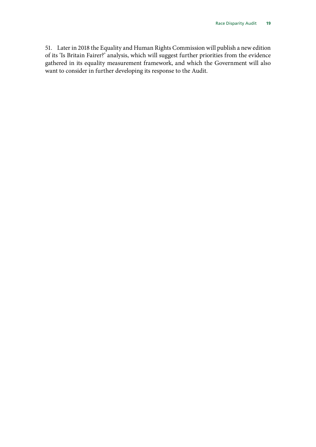51. Later in 2018 the Equality and Human Rights Commission will publish a new edition of its 'Is Britain Fairer?' analysis, which will suggest further priorities from the evidence gathered in its equality measurement framework, and which the Government will also want to consider in further developing its response to the Audit.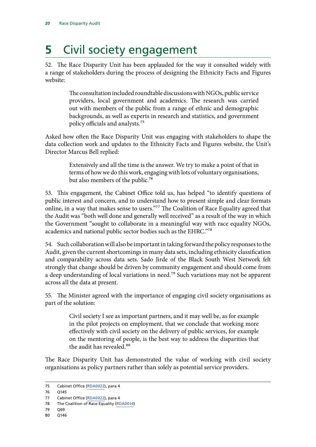## <span id="page-21-0"></span>**5** Civil society engagement

52. The Race Disparity Unit has been applauded for the way it consulted widely with a range of stakeholders during the process of designing the Ethnicity Facts and Figures website:

> The consultation included roundtable discussions with NGOs, public service providers, local government and academics. The research was carried out with members of the public from a range of ethnic and demographic backgrounds, as well as experts in research and statistics, and government policy officials and analysts.75

Asked how often the Race Disparity Unit was engaging with stakeholders to shape the data collection work and updates to the Ethnicity Facts and Figures website, the Unit's Director Marcus Bell replied:

> Extensively and all the time is the answer. We try to make a point of that in terms of how we do this work, engaging with lots of voluntary organisations, but also members of the public.<sup>76</sup>

53. This engagement, the Cabinet Office told us, has helped "to identify questions of public interest and concern, and to understand how to present simple and clear formats online, in a way that makes sense to users."<sup>77</sup> The Coalition of Race Equality agreed that the Audit was "both well done and generally well received" as a result of the way in which the Government "sought to collaborate in a meaningful way with race equality NGOs, academics and national public sector bodies such as the EHRC."78

54. Such collaboration will also be important in taking forward the policy responses to the Audit, given the current shortcomings in many data sets, including ethnicity classification and comparability across data sets. Sado Jirde of the Black South West Network felt strongly that change should be driven by community engagement and should come from a deep understanding of local variations in need.<sup>79</sup> Such variations may not be apparent across all the data at present.

55. The Minister agreed with the importance of engaging civil society organisations as part of the solution:

> Civil society I see as important partners, and it may well be, as for example in the pilot projects on employment, that we conclude that working more effectively with civil society on the delivery of public services, for example on the mentoring of people, is the best way to address the disparities that the audit has revealed.<sup>80</sup>

The Race Disparity Unit has demonstrated the value of working with civil society organisations as policy partners rather than solely as potential service providers.

<sup>75</sup> Cabinet Office [\(RDA0022\)](http://data.parliament.uk/WrittenEvidence/CommitteeEvidence.svc/EvidenceDocument/Women%20and%20Equalities/Race%20Disparity%20Audit/written/75816.html), para 4

<sup>76</sup> Q145

<sup>77</sup> Cabinet Office [\(RDA0022\)](http://data.parliament.uk/WrittenEvidence/CommitteeEvidence.svc/EvidenceDocument/Women%20and%20Equalities/Race%20Disparity%20Audit/written/75816.html), para 4

<sup>78</sup> The Coalition of Race Equality [\(RDA0014\)](http://data.parliament.uk/WrittenEvidence/CommitteeEvidence.svc/EvidenceDocument/Women%20and%20Equalities/Race%20Disparity%20Audit/written/74781.html)

<sup>79</sup> Q69

<sup>80</sup> Q146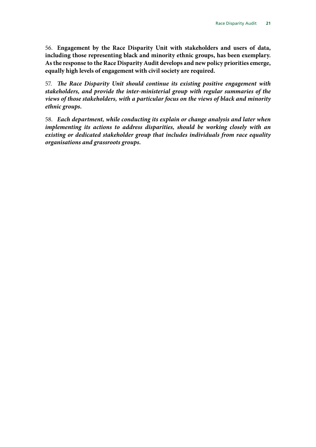56. **Engagement by the Race Disparity Unit with stakeholders and users of data, including those representing black and minority ethnic groups, has been exemplary. As the response to the Race Disparity Audit develops and new policy priorities emerge, equally high levels of engagement with civil society are required.**

57. The Race Disparity Unit should continue its existing positive engagement with *stakeholders, and provide the inter-ministerial group with regular summaries of the views of those stakeholders, with a particular focus on the views of black and minority ethnic groups.*

58. *Each department, while conducting its explain or change analysis and later when implementing its actions to address disparities, should be working closely with an existing or dedicated stakeholder group that includes individuals from race equality organisations and grassroots groups.*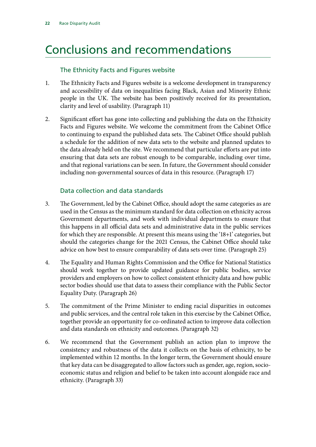## <span id="page-23-0"></span>Conclusions and recommendations

## The Ethnicity Facts and Figures website

- 1. The Ethnicity Facts and Figures website is a welcome development in transparency and accessibility of data on inequalities facing Black, Asian and Minority Ethnic people in the UK. The website has been positively received for its presentation, clarity and level of usability. (Paragraph 11)
- 2. Significant effort has gone into collecting and publishing the data on the Ethnicity Facts and Figures website. We welcome the commitment from the Cabinet Office to continuing to expand the published data sets. The Cabinet Office should publish a schedule for the addition of new data sets to the website and planned updates to the data already held on the site. We recommend that particular efforts are put into ensuring that data sets are robust enough to be comparable, including over time, and that regional variations can be seen. In future, the Government should consider including non-governmental sources of data in this resource. (Paragraph 17)

## Data collection and data standards

- 3. The Government, led by the Cabinet Office, should adopt the same categories as are used in the Census as the minimum standard for data collection on ethnicity across Government departments, and work with individual departments to ensure that this happens in all official data sets and administrative data in the public services for which they are responsible. At present this means using the '18+1' categories, but should the categories change for the 2021 Census, the Cabinet Office should take advice on how best to ensure comparability of data sets over time. (Paragraph 25)
- 4. The Equality and Human Rights Commission and the Office for National Statistics should work together to provide updated guidance for public bodies, service providers and employers on how to collect consistent ethnicity data and how public sector bodies should use that data to assess their compliance with the Public Sector Equality Duty. (Paragraph 26)
- 5. The commitment of the Prime Minister to ending racial disparities in outcomes and public services, and the central role taken in this exercise by the Cabinet Office, together provide an opportunity for co-ordinated action to improve data collection and data standards on ethnicity and outcomes. (Paragraph 32)
- 6. We recommend that the Government publish an action plan to improve the consistency and robustness of the data it collects on the basis of ethnicity, to be implemented within 12 months. In the longer term, the Government should ensure that key data can be disaggregated to allow factors such as gender, age, region, socioeconomic status and religion and belief to be taken into account alongside race and ethnicity. (Paragraph 33)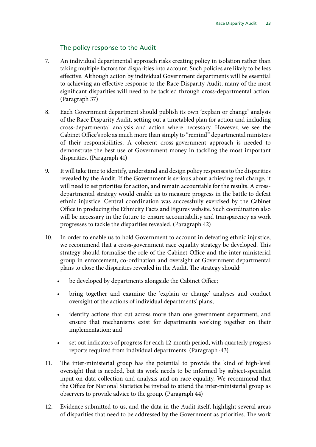## The policy response to the Audit

- 7. An individual departmental approach risks creating policy in isolation rather than taking multiple factors for disparities into account. Such policies are likely to be less effective. Although action by individual Government departments will be essential to achieving an effective response to the Race Disparity Audit, many of the most significant disparities will need to be tackled through cross-departmental action. (Paragraph 37)
- 8. Each Government department should publish its own 'explain or change' analysis of the Race Disparity Audit, setting out a timetabled plan for action and including cross-departmental analysis and action where necessary. However, we see the Cabinet Office's role as much more than simply to "remind" departmental ministers of their responsibilities. A coherent cross-government approach is needed to demonstrate the best use of Government money in tackling the most important disparities. (Paragraph 41)
- 9. It will take time to identify, understand and design policy responses to the disparities revealed by the Audit. If the Government is serious about achieving real change, it will need to set priorities for action, and remain accountable for the results. A crossdepartmental strategy would enable us to measure progress in the battle to defeat ethnic injustice. Central coordination was successfully exercised by the Cabinet Office in producing the Ethnicity Facts and Figures website. Such coordination also will be necessary in the future to ensure accountability and transparency as work progresses to tackle the disparities revealed. (Paragraph 42)
- 10. In order to enable us to hold Government to account in defeating ethnic injustice, we recommend that a cross-government race equality strategy be developed. This strategy should formalise the role of the Cabinet Office and the inter-ministerial group in enforcement, co-ordination and oversight of Government departmental plans to close the disparities revealed in the Audit. The strategy should:
	- be developed by departments alongside the Cabinet Office;
	- bring together and examine the 'explain or change' analyses and conduct oversight of the actions of individual departments' plans;
	- identify actions that cut across more than one government department, and ensure that mechanisms exist for departments working together on their implementation; and
	- set out indicators of progress for each 12-month period, with quarterly progress reports required from individual departments. (Paragraph ·43)
- 11. The inter-ministerial group has the potential to provide the kind of high-level oversight that is needed, but its work needs to be informed by subject-specialist input on data collection and analysis and on race equality. We recommend that the Office for National Statistics be invited to attend the inter-ministerial group as observers to provide advice to the group. (Paragraph 44)
- 12. Evidence submitted to us, and the data in the Audit itself, highlight several areas of disparities that need to be addressed by the Government as priorities. The work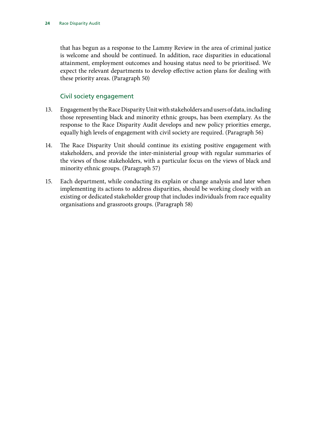that has begun as a response to the Lammy Review in the area of criminal justice is welcome and should be continued. In addition, race disparities in educational attainment, employment outcomes and housing status need to be prioritised. We expect the relevant departments to develop effective action plans for dealing with these priority areas. (Paragraph 50)

## Civil society engagement

- 13. Engagement by the Race Disparity Unit with stakeholders and users of data, including those representing black and minority ethnic groups, has been exemplary. As the response to the Race Disparity Audit develops and new policy priorities emerge, equally high levels of engagement with civil society are required. (Paragraph 56)
- 14. The Race Disparity Unit should continue its existing positive engagement with stakeholders, and provide the inter-ministerial group with regular summaries of the views of those stakeholders, with a particular focus on the views of black and minority ethnic groups. (Paragraph 57)
- 15. Each department, while conducting its explain or change analysis and later when implementing its actions to address disparities, should be working closely with an existing or dedicated stakeholder group that includes individuals from race equality organisations and grassroots groups. (Paragraph 58)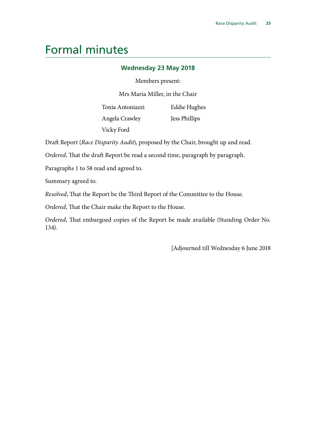## <span id="page-26-0"></span>Formal minutes

## **Wednesday 23 May 2018**

### Members present:

Mrs Maria Miller, in the Chair

Tonia Antoniazzi Angela Crawley Vicky Ford

Eddie Hughes

Jess Phillips

Draft Report (*Race Disparity Audit*), proposed by the Chair, brought up and read.

*Ordered*, That the draft Report be read a second time, paragraph by paragraph.

Paragraphs 1 to 58 read and agreed to.

Summary agreed to.

*Resolved*, That the Report be the Third Report of the Committee to the House.

*Ordered*, That the Chair make the Report to the House.

*Ordered*, That embargoed copies of the Report be made available (Standing Order No. 134).

[Adjourned till Wednesday 6 June 2018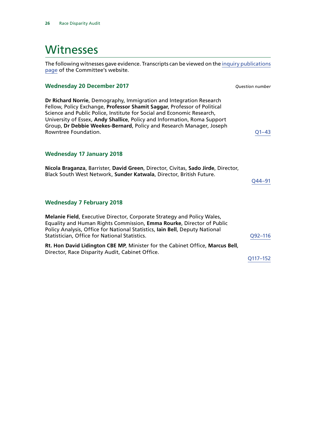## <span id="page-27-0"></span>Witnesses

The following witnesses gave evidence. Transcripts can be viewed on the [inquiry publications](https://www.parliament.uk/business/committees/committees-a-z/commons-select/women-and-equalities-committee/inquiries/parliament-2017/race-disparity-audit-17-19/publications/) [page](https://www.parliament.uk/business/committees/committees-a-z/commons-select/women-and-equalities-committee/inquiries/parliament-2017/race-disparity-audit-17-19/publications/) of the Committee's website.

### **Wednesday 20 December 2017** *Question number*

**Dr Richard Norrie**, Demography, Immigration and Integration Research Fellow, Policy Exchange, **Professor Shamit Saggar**, Professor of Political Science and Public Police, Institute for Social and Economic Research, University of Essex, **Andy Shallice**, Policy and Information, Roma Support Group, **Dr Debbie Weekes-Bernard**, Policy and Research Manager, Joseph Rowntree Foundation.  $Q1-43$ 

### **Wednesday 17 January 2018**

**Nicola Braganza**, Barrister, **David Green**, Director, Civitas, **Sado Jirde**, Director, Black South West Network, **Sunder Katwala**, Director, British Future. [Q44–91](http://data.parliament.uk/writtenevidence/committeeevidence.svc/evidencedocument/women-and-equalities-committee/race-disparity-audit/oral/77094.html)

### **Wednesday 7 February 2018**

**Melanie Field**, Executive Director, Corporate Strategy and Policy Wales, Equality and Human Rights Commission, **Emma Rourke**, Director of Public Policy Analysis, Office for National Statistics, **Iain Bell**, Deputy National Statistician, Office for National Statistics. COMENT CONSERVING CONSERVATION CONTRACTED AT A CONSERVATION CONSERVATION CONSERVATION CONSERVATION CONSERVATION CONSERVATION CONSERVATION CONSERVATION CONSERVATION CONSERVATION **Rt. Hon David Lidington CBE MP**, Minister for the Cabinet Office, **Marcus Bell**, Director, Race Disparity Audit, Cabinet Office. [Q117–152](http://data.parliament.uk/writtenevidence/committeeevidence.svc/evidencedocument/women-and-equalities-committee/race-disparity-audit/oral/78156.html#Panel2)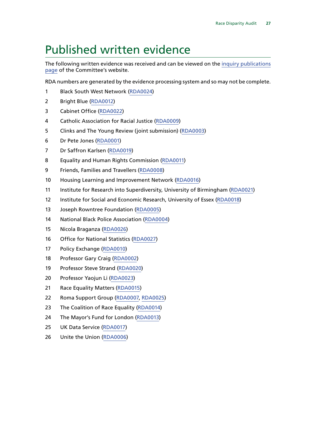## <span id="page-28-0"></span>Published written evidence

The following written evidence was received and can be viewed on the [inquiry publications](https://www.parliament.uk/business/committees/committees-a-z/commons-select/women-and-equalities-committee/inquiries/parliament-2017/race-disparity-audit-17-19/publications/) [page](https://www.parliament.uk/business/committees/committees-a-z/commons-select/women-and-equalities-committee/inquiries/parliament-2017/race-disparity-audit-17-19/publications/) of the Committee's website.

RDA numbers are generated by the evidence processing system and so may not be complete.

- Black South West Network [\(RDA0024\)](http://data.parliament.uk/WrittenEvidence/CommitteeEvidence.svc/EvidenceDocument/Women%20and%20Equalities/Race%20Disparity%20Audit/written/76914.html)
- Bright Blue ([RDA0012\)](http://data.parliament.uk/WrittenEvidence/CommitteeEvidence.svc/EvidenceDocument/Women%20and%20Equalities/Race%20Disparity%20Audit/written/74614.html)
- Cabinet Office ([RDA0022](http://data.parliament.uk/WrittenEvidence/CommitteeEvidence.svc/EvidenceDocument/Women%20and%20Equalities/Race%20Disparity%20Audit/written/75816.html))
- Catholic Association for Racial Justice ([RDA0009](http://data.parliament.uk/WrittenEvidence/CommitteeEvidence.svc/EvidenceDocument/Women%20and%20Equalities/Race%20Disparity%20Audit/written/74547.html))
- Clinks and The Young Review (joint submission) [\(RDA0003](http://data.parliament.uk/WrittenEvidence/CommitteeEvidence.svc/EvidenceDocument/Women%20and%20Equalities/Race%20Disparity%20Audit/written/74479.html))
- Dr Pete Jones ([RDA0001](http://data.parliament.uk/WrittenEvidence/CommitteeEvidence.svc/EvidenceDocument/Women%20and%20Equalities/Race%20Disparity%20Audit/written/73157.html))
- Dr Saffron Karlsen ([RDA0019\)](http://data.parliament.uk/WrittenEvidence/CommitteeEvidence.svc/EvidenceDocument/Women%20and%20Equalities/Race%20Disparity%20Audit/written/75522.html)
- Equality and Human Rights Commission [\(RDA0011\)](http://data.parliament.uk/WrittenEvidence/CommitteeEvidence.svc/EvidenceDocument/Women%20and%20Equalities/Race%20Disparity%20Audit/written/74579.html)
- Friends, Families and Travellers [\(RDA0008](http://data.parliament.uk/WrittenEvidence/CommitteeEvidence.svc/EvidenceDocument/Women%20and%20Equalities/Race%20Disparity%20Audit/written/74541.html))
- Housing Learning and Improvement Network [\(RDA0016\)](http://data.parliament.uk/WrittenEvidence/CommitteeEvidence.svc/EvidenceDocument/Women%20and%20Equalities/Race%20Disparity%20Audit/written/75207.html)
- Institute for Research into Superdiversity, University of Birmingham [\(RDA0021](http://data.parliament.uk/WrittenEvidence/CommitteeEvidence.svc/EvidenceDocument/Women%20and%20Equalities/Race%20Disparity%20Audit/written/75782.html))
- 12 Institute for Social and Economic Research, University of Essex [\(RDA0018](http://data.parliament.uk/WrittenEvidence/CommitteeEvidence.svc/EvidenceDocument/Women%20and%20Equalities/Race%20Disparity%20Audit/written/75521.html))
- Joseph Rowntree Foundation ([RDA0005](http://data.parliament.uk/WrittenEvidence/CommitteeEvidence.svc/EvidenceDocument/Women%20and%20Equalities/Race%20Disparity%20Audit/written/74494.html))
- National Black Police Association ([RDA0004](http://data.parliament.uk/WrittenEvidence/CommitteeEvidence.svc/EvidenceDocument/Women%20and%20Equalities/Race%20Disparity%20Audit/written/74482.html))
- Nicola Braganza [\(RDA0026\)](http://data.parliament.uk/WrittenEvidence/CommitteeEvidence.svc/EvidenceDocument/Women%20and%20Equalities/Race%20Disparity%20Audit/written/77619.html)
- Office for National Statistics [\(RDA0027\)](http://data.parliament.uk/WrittenEvidence/CommitteeEvidence.svc/EvidenceDocument/Women%20and%20Equalities/Race%20Disparity%20Audit/written/77806.html)
- Policy Exchange ([RDA0010](http://data.parliament.uk/WrittenEvidence/CommitteeEvidence.svc/EvidenceDocument/Women%20and%20Equalities/Race%20Disparity%20Audit/written/74569.html))
- Professor Gary Craig ([RDA0002\)](http://data.parliament.uk/WrittenEvidence/CommitteeEvidence.svc/EvidenceDocument/Women%20and%20Equalities/Race%20Disparity%20Audit/written/73328.html)
- Professor Steve Strand [\(RDA0020](http://data.parliament.uk/WrittenEvidence/CommitteeEvidence.svc/EvidenceDocument/Women%20and%20Equalities/Race%20Disparity%20Audit/written/75570.html))
- Professor Yaojun Li ([RDA0023](http://data.parliament.uk/WrittenEvidence/CommitteeEvidence.svc/EvidenceDocument/Women%20and%20Equalities/Race%20Disparity%20Audit/written/75982.html))
- 21 Race Equality Matters [\(RDA0015\)](http://data.parliament.uk/WrittenEvidence/CommitteeEvidence.svc/EvidenceDocument/Women%20and%20Equalities/Race%20Disparity%20Audit/written/74923.html)
- Roma Support Group [\(RDA0007](http://data.parliament.uk/WrittenEvidence/CommitteeEvidence.svc/EvidenceDocument/Women%20and%20Equalities/Race%20Disparity%20Audit/written/74508.html), [RDA0025\)](http://data.parliament.uk/WrittenEvidence/CommitteeEvidence.svc/EvidenceDocument/Women%20and%20Equalities/Race%20Disparity%20Audit/written/77423.html)
- 23 The Coalition of Race Equality ([RDA0014\)](http://data.parliament.uk/WrittenEvidence/CommitteeEvidence.svc/EvidenceDocument/Women%20and%20Equalities/Race%20Disparity%20Audit/written/74781.html)
- 24 The Mayor's Fund for London ([RDA0013\)](http://data.parliament.uk/WrittenEvidence/CommitteeEvidence.svc/EvidenceDocument/Women%20and%20Equalities/Race%20Disparity%20Audit/written/74623.html)
- UK Data Service [\(RDA0017](http://data.parliament.uk/WrittenEvidence/CommitteeEvidence.svc/EvidenceDocument/Women%20and%20Equalities/Race%20Disparity%20Audit/written/75442.html))
- Unite the Union ([RDA0006](http://data.parliament.uk/WrittenEvidence/CommitteeEvidence.svc/EvidenceDocument/Women%20and%20Equalities/Race%20Disparity%20Audit/written/74496.html))